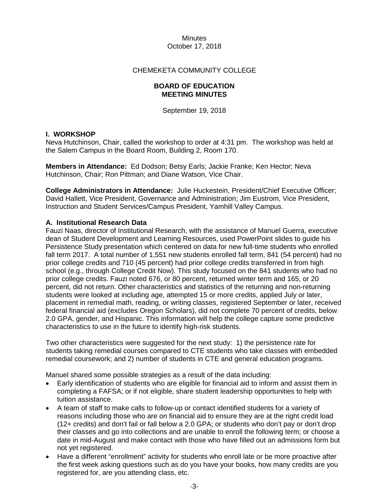### CHEMEKETA COMMUNITY COLLEGE

#### **BOARD OF EDUCATION MEETING MINUTES**

September 19, 2018

### **I. WORKSHOP**

Neva Hutchinson, Chair, called the workshop to order at 4:31 pm. The workshop was held at the Salem Campus in the Board Room, Building 2, Room 170.

**Members in Attendance:** Ed Dodson; Betsy Earls; Jackie Franke; Ken Hector; Neva Hutchinson, Chair; Ron Pittman; and Diane Watson, Vice Chair.

**College Administrators in Attendance:** Julie Huckestein, President/Chief Executive Officer; David Hallett, Vice President, Governance and Administration; Jim Eustrom, Vice President, Instruction and Student Services/Campus President, Yamhill Valley Campus.

### **A. Institutional Research Data**

Fauzi Naas, director of Institutional Research, with the assistance of Manuel Guerra, executive dean of Student Development and Learning Resources, used PowerPoint slides to guide his Persistence Study presentation which centered on data for new full-time students who enrolled fall term 2017. A total number of 1,551 new students enrolled fall term, 841 (54 percent) had no prior college credits and 710 (45 percent) had prior college credits transferred in from high school (e.g., through College Credit Now). This study focused on the 841 students who had no prior college credits. Fauzi noted 676, or 80 percent, returned winter term and 165, or 20 percent, did not return. Other characteristics and statistics of the returning and non-returning students were looked at including age, attempted 15 or more credits, applied July or later, placement in remedial math, reading, or writing classes, registered September or later, received federal financial aid (excludes Oregon Scholars), did not complete 70 percent of credits, below 2.0 GPA, gender, and Hispanic. This information will help the college capture some predictive characteristics to use in the future to identify high-risk students.

Two other characteristics were suggested for the next study: 1) the persistence rate for students taking remedial courses compared to CTE students who take classes with embedded remedial coursework; and 2) number of students in CTE and general education programs.

Manuel shared some possible strategies as a result of the data including:

- Early identification of students who are eligible for financial aid to inform and assist them in completing a FAFSA; or if not eligible, share student leadership opportunities to help with tuition assistance.
- A team of staff to make calls to follow-up or contact identified students for a variety of reasons including those who are on financial aid to ensure they are at the right credit load (12+ credits) and don't fail or fall below a 2.0 GPA; or students who don't pay or don't drop their classes and go into collections and are unable to enroll the following term; or choose a date in mid-August and make contact with those who have filled out an admissions form but not yet registered.
- Have a different "enrollment" activity for students who enroll late or be more proactive after the first week asking questions such as do you have your books, how many credits are you registered for, are you attending class, etc.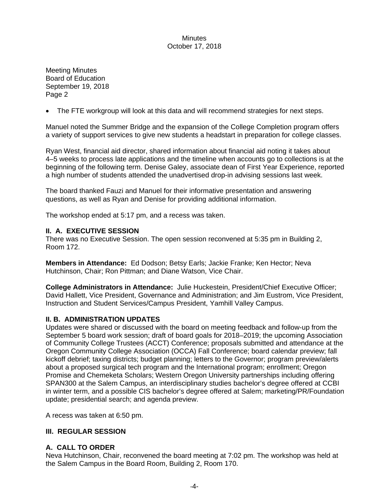Meeting Minutes Board of Education September 19, 2018 Page 2

• The FTE workgroup will look at this data and will recommend strategies for next steps.

Manuel noted the Summer Bridge and the expansion of the College Completion program offers a variety of support services to give new students a headstart in preparation for college classes.

Ryan West, financial aid director, shared information about financial aid noting it takes about 4–5 weeks to process late applications and the timeline when accounts go to collections is at the beginning of the following term. Denise Galey, associate dean of First Year Experience, reported a high number of students attended the unadvertised drop-in advising sessions last week.

The board thanked Fauzi and Manuel for their informative presentation and answering questions, as well as Ryan and Denise for providing additional information.

The workshop ended at 5:17 pm, and a recess was taken.

### **II. A. EXECUTIVE SESSION**

There was no Executive Session. The open session reconvened at 5:35 pm in Building 2, Room 172.

**Members in Attendance:** Ed Dodson; Betsy Earls; Jackie Franke; Ken Hector; Neva Hutchinson, Chair; Ron Pittman; and Diane Watson, Vice Chair.

**College Administrators in Attendance:** Julie Huckestein, President/Chief Executive Officer; David Hallett, Vice President, Governance and Administration; and Jim Eustrom, Vice President, Instruction and Student Services/Campus President, Yamhill Valley Campus.

#### **II. B. ADMINISTRATION UPDATES**

Updates were shared or discussed with the board on meeting feedback and follow-up from the September 5 board work session; draft of board goals for 2018–2019; the upcoming Association of Community College Trustees (ACCT) Conference; proposals submitted and attendance at the Oregon Community College Association (OCCA) Fall Conference; board calendar preview; fall kickoff debrief; taxing districts; budget planning; letters to the Governor; program preview/alerts about a proposed surgical tech program and the International program; enrollment; Oregon Promise and Chemeketa Scholars; Western Oregon University partnerships including offering SPAN300 at the Salem Campus, an interdisciplinary studies bachelor's degree offered at CCBI in winter term, and a possible CIS bachelor's degree offered at Salem; marketing/PR/Foundation update; presidential search; and agenda preview.

A recess was taken at 6:50 pm.

### **III. REGULAR SESSION**

## **A. CALL TO ORDER**

Neva Hutchinson, Chair, reconvened the board meeting at 7:02 pm. The workshop was held at the Salem Campus in the Board Room, Building 2, Room 170.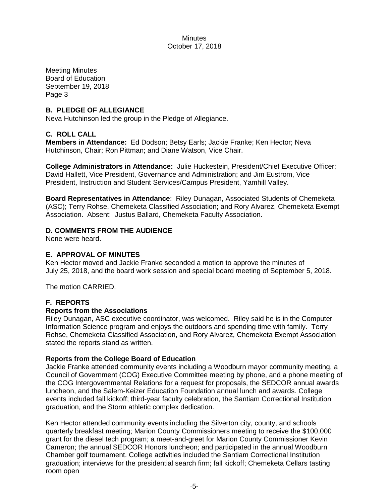Meeting Minutes Board of Education September 19, 2018 Page 3

### **B. PLEDGE OF ALLEGIANCE**

Neva Hutchinson led the group in the Pledge of Allegiance.

### **C. ROLL CALL**

**Members in Attendance:** Ed Dodson; Betsy Earls; Jackie Franke; Ken Hector; Neva Hutchinson, Chair; Ron Pittman; and Diane Watson, Vice Chair.

**College Administrators in Attendance:** Julie Huckestein, President/Chief Executive Officer; David Hallett, Vice President, Governance and Administration; and Jim Eustrom, Vice President, Instruction and Student Services/Campus President, Yamhill Valley.

**Board Representatives in Attendance**: Riley Dunagan, Associated Students of Chemeketa (ASC); Terry Rohse, Chemeketa Classified Association; and Rory Alvarez, Chemeketa Exempt Association. Absent: Justus Ballard, Chemeketa Faculty Association.

## **D. COMMENTS FROM THE AUDIENCE**

None were heard.

### **E. APPROVAL OF MINUTES**

Ken Hector moved and Jackie Franke seconded a motion to approve the minutes of July 25, 2018, and the board work session and special board meeting of September 5, 2018.

The motion CARRIED.

#### **F. REPORTS**

#### **Reports from the Associations**

Riley Dunagan, ASC executive coordinator, was welcomed. Riley said he is in the Computer Information Science program and enjoys the outdoors and spending time with family. Terry Rohse, Chemeketa Classified Association, and Rory Alvarez, Chemeketa Exempt Association stated the reports stand as written.

#### **Reports from the College Board of Education**

Jackie Franke attended community events including a Woodburn mayor community meeting, a Council of Government (COG) Executive Committee meeting by phone, and a phone meeting of the COG Intergovernmental Relations for a request for proposals, the SEDCOR annual awards luncheon, and the Salem-Keizer Education Foundation annual lunch and awards. College events included fall kickoff; third-year faculty celebration, the Santiam Correctional Institution graduation, and the Storm athletic complex dedication.

Ken Hector attended community events including the Silverton city, county, and schools quarterly breakfast meeting; Marion County Commissioners meeting to receive the \$100,000 grant for the diesel tech program; a meet-and-greet for Marion County Commissioner Kevin Cameron; the annual SEDCOR Honors luncheon; and participated in the annual Woodburn Chamber golf tournament. College activities included the Santiam Correctional Institution graduation; interviews for the presidential search firm; fall kickoff; Chemeketa Cellars tasting room open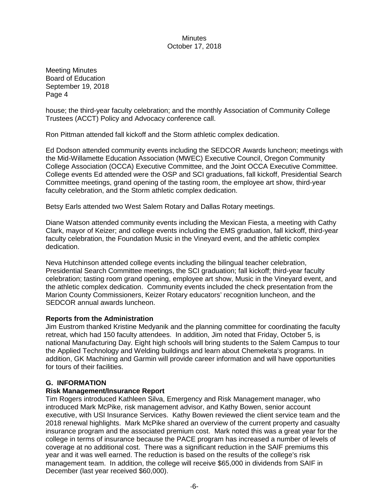Meeting Minutes Board of Education September 19, 2018 Page 4

house; the third-year faculty celebration; and the monthly Association of Community College Trustees (ACCT) Policy and Advocacy conference call.

Ron Pittman attended fall kickoff and the Storm athletic complex dedication.

Ed Dodson attended community events including the SEDCOR Awards luncheon; meetings with the Mid-Willamette Education Association (MWEC) Executive Council, Oregon Community College Association (OCCA) Executive Committee, and the Joint OCCA Executive Committee. College events Ed attended were the OSP and SCI graduations, fall kickoff, Presidential Search Committee meetings, grand opening of the tasting room, the employee art show, third-year faculty celebration, and the Storm athletic complex dedication.

Betsy Earls attended two West Salem Rotary and Dallas Rotary meetings.

Diane Watson attended community events including the Mexican Fiesta, a meeting with Cathy Clark, mayor of Keizer; and college events including the EMS graduation, fall kickoff, third-year faculty celebration, the Foundation Music in the Vineyard event, and the athletic complex dedication.

Neva Hutchinson attended college events including the bilingual teacher celebration, Presidential Search Committee meetings, the SCI graduation; fall kickoff; third-year faculty celebration; tasting room grand opening, employee art show, Music in the Vineyard event, and the athletic complex dedication. Community events included the check presentation from the Marion County Commissioners, Keizer Rotary educators' recognition luncheon, and the SEDCOR annual awards luncheon.

## **Reports from the Administration**

Jim Eustrom thanked Kristine Medyanik and the planning committee for coordinating the faculty retreat, which had 150 faculty attendees. In addition, Jim noted that Friday, October 5, is national Manufacturing Day. Eight high schools will bring students to the Salem Campus to tour the Applied Technology and Welding buildings and learn about Chemeketa's programs. In addition, GK Machining and Garmin will provide career information and will have opportunities for tours of their facilities.

#### **G. INFORMATION**

## **Risk Management/Insurance Report**

Tim Rogers introduced Kathleen Silva, Emergency and Risk Management manager, who introduced Mark McPike, risk management advisor, and Kathy Bowen, senior account executive, with USI Insurance Services. Kathy Bowen reviewed the client service team and the 2018 renewal highlights. Mark McPike shared an overview of the current property and casualty insurance program and the associated premium cost. Mark noted this was a great year for the college in terms of insurance because the PACE program has increased a number of levels of coverage at no additional cost. There was a significant reduction in the SAIF premiums this year and it was well earned. The reduction is based on the results of the college's risk management team. In addition, the college will receive \$65,000 in dividends from SAIF in December (last year received \$60,000).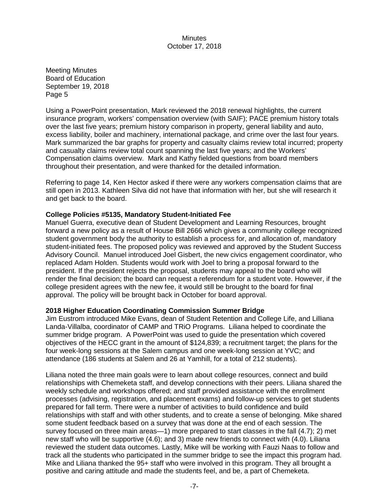Meeting Minutes Board of Education September 19, 2018 Page 5

Using a PowerPoint presentation, Mark reviewed the 2018 renewal highlights, the current insurance program, workers' compensation overview (with SAIF); PACE premium history totals over the last five years; premium history comparison in property, general liability and auto, excess liability, boiler and machinery, international package, and crime over the last four years. Mark summarized the bar graphs for property and casualty claims review total incurred; property and casualty claims review total count spanning the last five years; and the Workers' Compensation claims overview. Mark and Kathy fielded questions from board members throughout their presentation, and were thanked for the detailed information.

Referring to page 14, Ken Hector asked if there were any workers compensation claims that are still open in 2013. Kathleen Silva did not have that information with her, but she will research it and get back to the board.

## **College Policies #5135, Mandatory Student-Initiated Fee**

Manuel Guerra, executive dean of Student Development and Learning Resources, brought forward a new policy as a result of House Bill 2666 which gives a community college recognized student government body the authority to establish a process for, and allocation of, mandatory student-initiated fees. The proposed policy was reviewed and approved by the Student Success Advisory Council. Manuel introduced Joel Gisbert, the new civics engagement coordinator, who replaced Adam Holden. Students would work with Joel to bring a proposal forward to the president. If the president rejects the proposal, students may appeal to the board who will render the final decision; the board can request a referendum for a student vote. However, if the college president agrees with the new fee, it would still be brought to the board for final approval. The policy will be brought back in October for board approval.

#### **2018 Higher Education Coordinating Commission Summer Bridge**

Jim Eustrom introduced Mike Evans, dean of Student Retention and College Life, and Lilliana Landa-Villalba, coordinator of CAMP and TRiO Programs. Liliana helped to coordinate the summer bridge program. A PowerPoint was used to guide the presentation which covered objectives of the HECC grant in the amount of \$124,839; a recruitment target; the plans for the four week-long sessions at the Salem campus and one week-long session at YVC; and attendance (186 students at Salem and 26 at Yamhill, for a total of 212 students).

Liliana noted the three main goals were to learn about college resources, connect and build relationships with Chemeketa staff, and develop connections with their peers. Liliana shared the weekly schedule and workshops offered; and staff provided assistance with the enrollment processes (advising, registration, and placement exams) and follow-up services to get students prepared for fall term. There were a number of activities to build confidence and build relationships with staff and with other students, and to create a sense of belonging. Mike shared some student feedback based on a survey that was done at the end of each session. The survey focused on three main areas—1) more prepared to start classes in the fall (4.7); 2) met new staff who will be supportive (4.6); and 3) made new friends to connect with (4.0). Liliana reviewed the student data outcomes. Lastly, Mike will be working with Fauzi Naas to follow and track all the students who participated in the summer bridge to see the impact this program had. Mike and Liliana thanked the 95+ staff who were involved in this program. They all brought a positive and caring attitude and made the students feel, and be, a part of Chemeketa.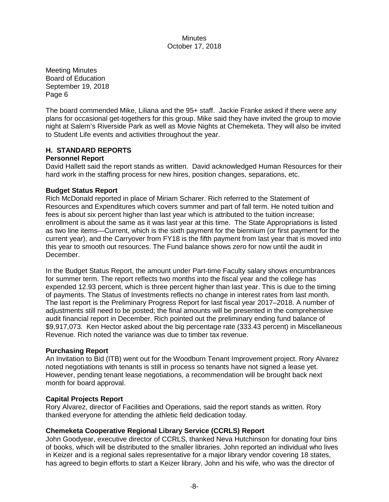Meeting Minutes Board of Education September 19, 2018 Page 6

The board commended Mike, Liliana and the 95+ staff. Jackie Franke asked if there were any plans for occasional get-togethers for this group. Mike said they have invited the group to movie night at Salem's Riverside Park as well as Movie Nights at Chemeketa. They will also be invited to Student Life events and activities throughout the year.

## **H. STANDARD REPORTS**

### **Personnel Report**

David Hallett said the report stands as written. David acknowledged Human Resources for their hard work in the staffing process for new hires, position changes, separations, etc.

## **Budget Status Report**

Rich McDonald reported in place of Miriam Scharer. Rich referred to the Statement of Resources and Expenditures which covers summer and part of fall term. He noted tuition and fees is about six percent higher than last year which is attributed to the tuition increase; enrollment is about the same as it was last year at this time. The State Appropriations is listed as two line items—Current, which is the sixth payment for the biennium (or first payment for the current year), and the Carryover from FY18 is the fifth payment from last year that is moved into this year to smooth out resources. The Fund balance shows zero for now until the audit in December.

In the Budget Status Report, the amount under Part-time Faculty salary shows encumbrances for summer term. The report reflects two months into the fiscal year and the college has expended 12.93 percent, which is three percent higher than last year. This is due to the timing of payments. The Status of Investments reflects no change in interest rates from last month. The last report is the Preliminary Progress Report for last fiscal year 2017–2018. A number of adjustments still need to be posted; the final amounts will be presented in the comprehensive audit financial report in December. Rich pointed out the preliminary ending fund balance of \$9,917,073. Ken Hector asked about the big percentage rate (333.43 percent) in Miscellaneous Revenue. Rich noted the variance was due to timber tax revenue.

#### **Purchasing Report**

An Invitation to Bid (ITB) went out for the Woodburn Tenant Improvement project. Rory Alvarez noted negotiations with tenants is still in process so tenants have not signed a lease yet. However, pending tenant lease negotiations, a recommendation will be brought back next month for board approval.

#### **Capital Projects Report**

Rory Alvarez, director of Facilities and Operations, said the report stands as written. Rory thanked everyone for attending the athletic field dedication today.

## **Chemeketa Cooperative Regional Library Service (CCRLS) Report**

John Goodyear, executive director of CCRLS, thanked Neva Hutchinson for donating four bins of books, which will be distributed to the smaller libraries. John reported an individual who lives in Keizer and is a regional sales representative for a major library vendor covering 18 states, has agreed to begin efforts to start a Keizer library. John and his wife, who was the director of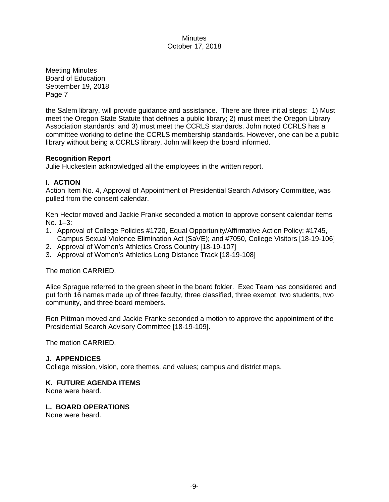Meeting Minutes Board of Education September 19, 2018 Page 7

the Salem library, will provide guidance and assistance. There are three initial steps: 1) Must meet the Oregon State Statute that defines a public library; 2) must meet the Oregon Library Association standards; and 3) must meet the CCRLS standards. John noted CCRLS has a committee working to define the CCRLS membership standards. However, one can be a public library without being a CCRLS library. John will keep the board informed.

### **Recognition Report**

Julie Huckestein acknowledged all the employees in the written report.

## **I. ACTION**

Action Item No. 4, Approval of Appointment of Presidential Search Advisory Committee, was pulled from the consent calendar.

Ken Hector moved and Jackie Franke seconded a motion to approve consent calendar items No. 1–3:

- 1. Approval of College Policies #1720, Equal Opportunity/Affirmative Action Policy; #1745, Campus Sexual Violence Elimination Act (SaVE); and #7050, College Visitors [18-19-106]
- 2. Approval of Women's Athletics Cross Country [18-19-107]
- 3. Approval of Women's Athletics Long Distance Track [18-19-108]

The motion CARRIED.

Alice Sprague referred to the green sheet in the board folder. Exec Team has considered and put forth 16 names made up of three faculty, three classified, three exempt, two students, two community, and three board members.

Ron Pittman moved and Jackie Franke seconded a motion to approve the appointment of the Presidential Search Advisory Committee [18-19-109].

The motion CARRIED.

## **J. APPENDICES**

College mission, vision, core themes, and values; campus and district maps.

## **K. FUTURE AGENDA ITEMS**

None were heard.

## **L. BOARD OPERATIONS**

None were heard.